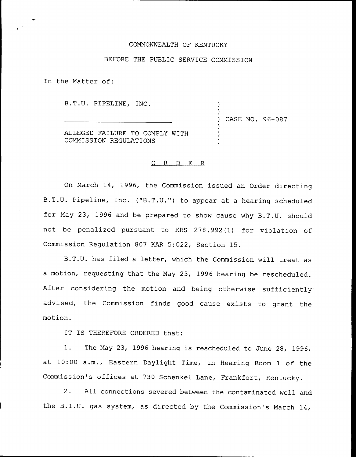## COMMONWEALTH OF KENTUCKY

## BEFORE THE PUBLIC SERVICE COMMISSION

In the Matter of:

B.T.U. PIPELINE, INC.

) CASE NO. 96-087

) )

) ) )

ALLEGED FAILURE TO COMPLY WITH COMMISSION REGULATIONS

## 0 R <sup>D</sup> E R

On March 14, 1996, the Commission issued an Order directing B.T.U. Pipeline, Inc. ("B.T.U.") to appear at a hearing scheduled for May 23, 1996 and be prepared to show cause why B.T.U. should not be penalized pursuant to KRS 278.992(1) for violation of Commission Regulation 807 KAR 5:022, Section 15.

B.T.U. has filed <sup>a</sup> letter, which the Commission will treat as a motion, requesting that the May 23, 1996 hearing be rescheduled. After considering the motion and being otherwise sufficiently advised, the Commission finds good cause exists to grant the motion.

IT IS THEREFORE ORDERED that:

1. The May 23, <sup>1996</sup> hearing is rescheduled to June 28, 1996, at 10:00 a.m., Eastern Daylight Time, in Hearing Room <sup>1</sup> of the Commission's offices at 730 Schenkel Lane, Frankfort, Kentucky.

2. All connections severed between the contaminated well and the B.T.U. gas system, as directed by the Commission's March 14,